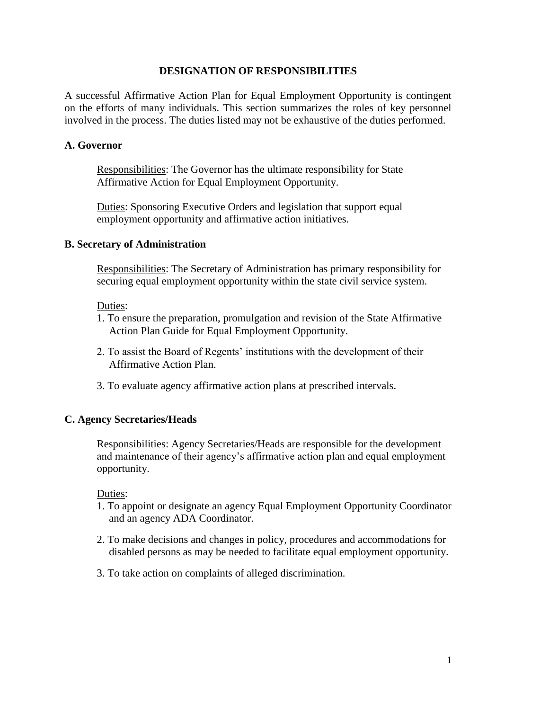## **DESIGNATION OF RESPONSIBILITIES**

A successful Affirmative Action Plan for Equal Employment Opportunity is contingent on the efforts of many individuals. This section summarizes the roles of key personnel involved in the process. The duties listed may not be exhaustive of the duties performed.

### **A. Governor**

Responsibilities: The Governor has the ultimate responsibility for State Affirmative Action for Equal Employment Opportunity.

Duties: Sponsoring Executive Orders and legislation that support equal employment opportunity and affirmative action initiatives.

### **B. Secretary of Administration**

Responsibilities: The Secretary of Administration has primary responsibility for securing equal employment opportunity within the state civil service system.

#### Duties:

- 1. To ensure the preparation, promulgation and revision of the State Affirmative Action Plan Guide for Equal Employment Opportunity.
- 2. To assist the Board of Regents' institutions with the development of their Affirmative Action Plan.
- 3. To evaluate agency affirmative action plans at prescribed intervals.

# **C. Agency Secretaries/Heads**

Responsibilities: Agency Secretaries/Heads are responsible for the development and maintenance of their agency's affirmative action plan and equal employment opportunity.

#### Duties:

- 1. To appoint or designate an agency Equal Employment Opportunity Coordinator and an agency ADA Coordinator.
- 2. To make decisions and changes in policy, procedures and accommodations for disabled persons as may be needed to facilitate equal employment opportunity.
- 3. To take action on complaints of alleged discrimination.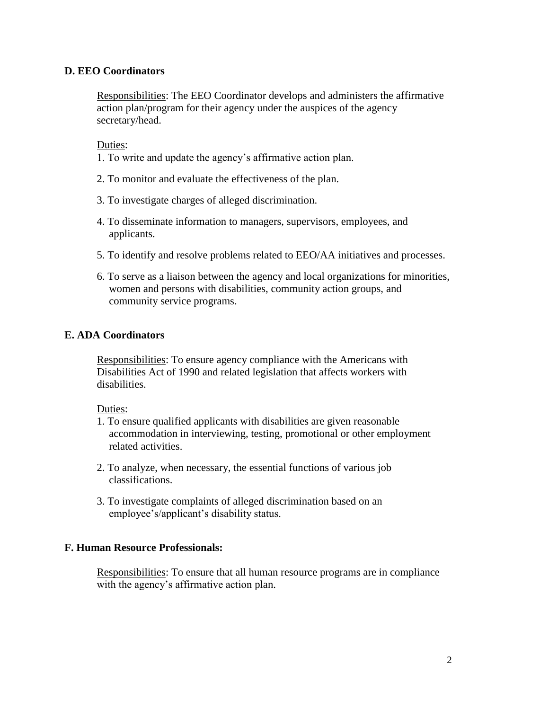# **D. EEO Coordinators**

Responsibilities: The EEO Coordinator develops and administers the affirmative action plan/program for their agency under the auspices of the agency secretary/head.

Duties:

- 1. To write and update the agency's affirmative action plan.
- 2. To monitor and evaluate the effectiveness of the plan.
- 3. To investigate charges of alleged discrimination.
- 4. To disseminate information to managers, supervisors, employees, and applicants.
- 5. To identify and resolve problems related to EEO/AA initiatives and processes.
- 6. To serve as a liaison between the agency and local organizations for minorities, women and persons with disabilities, community action groups, and community service programs.

# **E. ADA Coordinators**

Responsibilities: To ensure agency compliance with the Americans with Disabilities Act of 1990 and related legislation that affects workers with disabilities.

#### Duties:

- 1. To ensure qualified applicants with disabilities are given reasonable accommodation in interviewing, testing, promotional or other employment related activities.
- 2. To analyze, when necessary, the essential functions of various job classifications.
- 3. To investigate complaints of alleged discrimination based on an employee's/applicant's disability status.

# **F. Human Resource Professionals:**

Responsibilities: To ensure that all human resource programs are in compliance with the agency's affirmative action plan.